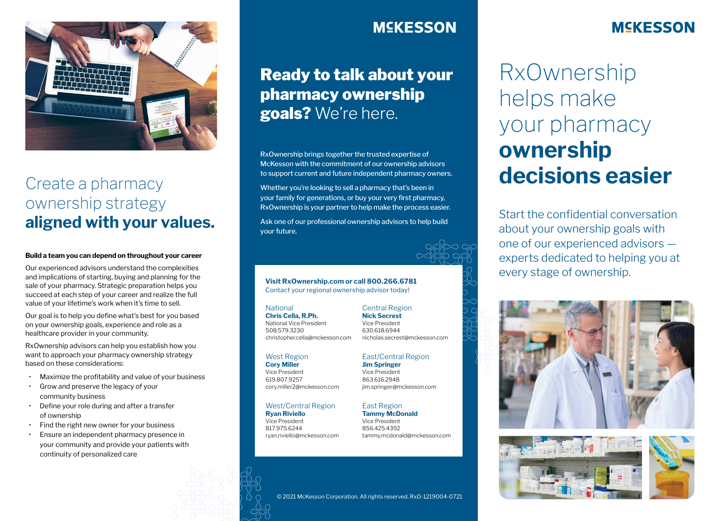

# Create a pharmacy ownership strategy **aligned with your values.**

### **Build a team you can depend on throughout your career**

Our experienced advisors understand the complexities and implications of starting, buying and planning for the sale of your pharmacy. Strategic preparation helps you succeed at each step of your career and realize the full value of your lifetime's work when it's time to sell.

Our goal is to help you define what's best for you based on your ownership goals, experience and role as a healthcare provider in your community.

RxOwnership advisors can help you establish how you want to approach your pharmacy ownership strategy based on these considerations:

- Maximize the profitability and value of your business
- Grow and preserve the legacy of your community business
- Define your role during and after a transfer of ownership
- Find the right new owner for your business
- Ensure an independent pharmacy presence in your community and provide your patients with continuity of personalized care

# **MEKESSON**

# Ready to talk about your pharmacy ownership goals? We're here.

RxOwnership brings together the trusted expertise of McKesson with the commitment of our ownership advisors to support current and future independent pharmacy owners.

Whether you're looking to sell a pharmacy that's been in your family for generations, or buy your very first pharmacy, RxOwnership is your partner to help make the process easier.

Ask one of our professional ownership advisors to help build your future.



### **Visit RxOwnership.com or call 800.266.6781**  Contact your regional ownership advisor today!

### **National**

**Chris Cella, R.Ph.** National Vice President 508.579.3230 christopher.cella@mckesson.com

### West Region

**Cory Miller** Vice President 619.807.9257 cory.miller2@mckesson.com

#### West/Central Region **Ryan Riviello**

Vice President 817.975.6244 ryan.riviello@mckesson.com

#### **Nick Secrest** Vice President 630.618.6944 nicholas.secrest@mckesson.com

Central Region

## East/Central Region

**Jim Springer** Vice President 863.616.2948 jim.springer@mckesson.com

### East Region

**Tammy McDonald** Vice President 856.425.4392 tammy.mcdonald@mckesson.com

### © 2021 McKesson Corporation. All rights reserved. RxO-1219004-0721

# **MCKESSON**

RxOwnership helps make your pharmacy **ownership decisions easier**

Start the confidential conversation about your ownership goals with one of our experienced advisors experts dedicated to helping you at every stage of ownership.